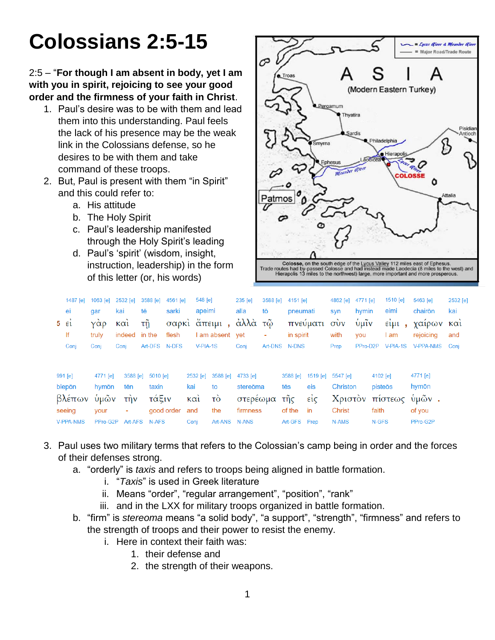# **Colossians 2:5-15**

#### 2:5 – "**For though I am absent in body, yet I am with you in spirit, rejoicing to see your good order and the firmness of your faith in Christ**.

- 1. Paul's desire was to be with them and lead them into this understanding. Paul feels the lack of his presence may be the weak link in the Colossians defense, so he desires to be with them and take command of these troops.
- 2. But, Paul is present with them "in Spirit" and this could refer to:
	- a. His attitude
	- b. The Holy Spirit
	- c. Paul's leadership manifested through the Holy Spirit's leading
	- d. Paul's 'spirit' (wisdom, insight, instruction, leadership) in the form of this letter (or, his words)



| 1487 [e]         | 1063 [e] | 2532 [e]      | 3588 [e]          | 4561 [e]       | 548 [e]  |                       | 235 [e]               |   | 3588 [e] 4151 [e] |                            | 4862 [e]              | 4771 [e]   |          | 1510 [e]                        | 5463 [e]              | 2532 [e] |
|------------------|----------|---------------|-------------------|----------------|----------|-----------------------|-----------------------|---|-------------------|----------------------------|-----------------------|------------|----------|---------------------------------|-----------------------|----------|
| ei               | gar      | kai           | tē                | sarki          | apeimi   |                       | alla<br>tō            |   | pneumati          |                            | hymin<br>syn          |            | eimi     |                                 | chairōn               | kai      |
| $5 \epsilon i$   | Υάρ      | Kαι           | τñ                |                |          |                       | σαρκὶ ἄπειμι, ἀλλὰ τῷ |   |                   | πνεύματι                   | $\sigma$ <sub>V</sub> | ULIV       |          | $\epsilon$ i $\mu$ <sub>1</sub> | γαιρων και            |          |
| lf               | truly    | indeed in the |                   | flesh          |          | I am absent vet       |                       | ۰ | in spirit         |                            | with                  | <b>VOU</b> |          | am                              | rejoicing             | and      |
| Conj             | Conj     | Coni          | Art-DFS N-DFS     |                | V-PIA-1S |                       | Conj                  |   | Art-DNS N-DNS     |                            | Prep                  | PPro-D2P   |          |                                 | V-PIA-1S V-PPA-NMS    | Conj     |
| 991 [e]          | 4771 [e] |               | 3588 [e] 5010 [e] |                | 2532 [e] |                       | 3588 [e] 4733 [e]     |   |                   | 3588 [e] 1519 [e] 5547 [e] |                       |            | 4102 [e] |                                 | 4771 [e]              |          |
| blepōn           | hymōn    | tēn           | taxin             |                | kai      | to                    | stereōma              |   | tēs               | eis                        | Christon              |            | pisteōs  |                                 | hymōn                 |          |
| βλέπων           | ὑμῶν     | $\tau$ nv     | τάξιν             |                | καὶ      | $\overrightarrow{co}$ | στερέωμα              |   | τῆς               | $ε$ ίς                     |                       |            |          |                                 | Χριστόν πίστεως ύμών. |          |
| seeing           | your     | ٠             |                   | good order and |          | the                   | firmness              |   | of the            | in                         | <b>Christ</b>         |            | faith    |                                 | of you                |          |
| <b>V-PPA-NMS</b> | PPro-G2P |               | Art-AFS N-AFS     |                | Coni     | Art-ANS N-ANS         |                       |   | Art-GFS Prep      |                            | N-AMS                 |            | N-GFS    |                                 | PPro-G2P              |          |

- 3. Paul uses two military terms that refers to the Colossian's camp being in order and the forces of their defenses strong.
	- a. "orderly" is *taxis* and refers to troops being aligned in battle formation.
		- i. "*Taxis*" is used in Greek literature
		- ii. Means "order", "regular arrangement", "position", "rank"
		- iii. and in the LXX for military troops organized in battle formation.
	- b. "firm" is *stereoma* means "a solid body", "a support", "strength", "firmness" and refers to the strength of troops and their power to resist the enemy.
		- i. Here in context their faith was:
			- 1. their defense and
			- 2. the strength of their weapons.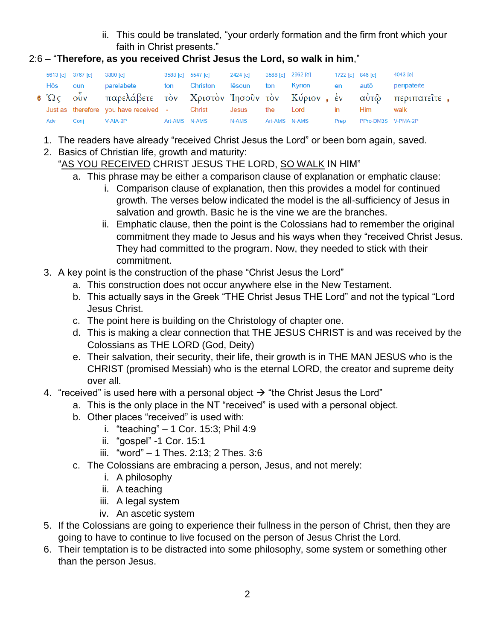ii. This could be translated, "your orderly formation and the firm front which your faith in Christ presents."

## 2:6 – "**Therefore, as you received Christ Jesus the Lord, so walk in him**,"

|     | 5613 [e] 3767 [e] | 3880 [e]                                                                | 3588 [e] 5547 [e] | 2424 [e]   | 3588 [e] 2962 [e] |               | 1722 [e] 846 [e] |                    | 4043 [e]    |
|-----|-------------------|-------------------------------------------------------------------------|-------------------|------------|-------------------|---------------|------------------|--------------------|-------------|
| Hōs | oun               | parelabete                                                              | ton Christon      | lēsoun ton |                   | Kyrion        | en               | autō               | peripateite |
|     |                   | 6 Ως ούν παρελάβετε τον Χριστον Ίησοῦν τον Κύριον, έν αὐτῷ περιπατεῖτε, |                   |            |                   |               |                  |                    |             |
|     |                   | Just as therefore you have received - Christ                            |                   | Jesus      | the               | Lord          | $\mathsf{I}$     | Him                | walk        |
| Adv | Coni              | V-AIA-2P                                                                | Art-AMS N-AMS     | N-AMS      |                   | Art-AMS N-AMS | Prep             | PPro-DM3S V-PMA-2P |             |

- 1. The readers have already "received Christ Jesus the Lord" or been born again, saved.
- 2. Basics of Christian life, growth and maturity:

# "AS YOU RECEIVED CHRIST JESUS THE LORD, SO WALK IN HIM"

- a. This phrase may be either a comparison clause of explanation or emphatic clause:
	- i. Comparison clause of explanation, then this provides a model for continued growth. The verses below indicated the model is the all-sufficiency of Jesus in salvation and growth. Basic he is the vine we are the branches.
	- ii. Emphatic clause, then the point is the Colossians had to remember the original commitment they made to Jesus and his ways when they "received Christ Jesus. They had committed to the program. Now, they needed to stick with their commitment.
- 3. A key point is the construction of the phase "Christ Jesus the Lord"
	- a. This construction does not occur anywhere else in the New Testament.
	- b. This actually says in the Greek "THE Christ Jesus THE Lord" and not the typical "Lord Jesus Christ.
	- c. The point here is building on the Christology of chapter one.
	- d. This is making a clear connection that THE JESUS CHRIST is and was received by the Colossians as THE LORD (God, Deity)
	- e. Their salvation, their security, their life, their growth is in THE MAN JESUS who is the CHRIST (promised Messiah) who is the eternal LORD, the creator and supreme deity over all.
- 4. "received" is used here with a personal object  $\rightarrow$  "the Christ Jesus the Lord"
	- a. This is the only place in the NT "received" is used with a personal object.
	- b. Other places "received" is used with:
		- i. "teaching" 1 Cor. 15:3; Phil 4:9
		- ii. "gospel" -1 Cor. 15:1
		- iii. "word" 1 Thes. 2:13; 2 Thes. 3:6
	- c. The Colossians are embracing a person, Jesus, and not merely:
		- i. A philosophy
		- ii. A teaching
		- iii. A legal system
		- iv. An ascetic system
- 5. If the Colossians are going to experience their fullness in the person of Christ, then they are going to have to continue to live focused on the person of Jesus Christ the Lord.
- 6. Their temptation is to be distracted into some philosophy, some system or something other than the person Jesus.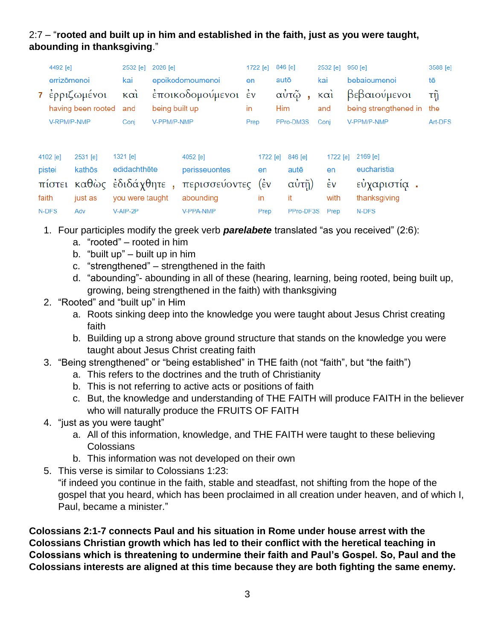## 2:7 – "**rooted and built up in him and established in the faith, just as you were taught, abounding in thanksgiving**."

|             | 4492 [e]<br>2532 [e] |                                                |                            |                  | 1722 [e]<br>2026 [e]                       |                                 |     | 846 [e]                                   | 2532 [e]                             | $950$ [e]                              | 3588 [e]     |  |
|-------------|----------------------|------------------------------------------------|----------------------------|------------------|--------------------------------------------|---------------------------------|-----|-------------------------------------------|--------------------------------------|----------------------------------------|--------------|--|
|             | errizōmenoi          |                                                | kai                        | epoikodomoumenoi | en                                         | autō                            |     | kai                                       | bebaioumenoi                         | tē<br>τñ                               |              |  |
|             |                      | 7 έρριζωμένοι                                  | $\kappa \alpha i$          |                  | έποικοδομούμενοι έν                        |                                 |     | αὐτῷ                                      | $k\alpha i$                          |                                        | βεβαιούμενοι |  |
|             |                      | having been rooted                             | and                        | being built up   |                                            | in                              | Him |                                           | and                                  | being strengthened in                  | the          |  |
| V-RPM/P-NMP |                      |                                                | Conj                       |                  | V-PPM/P-NMP<br>Prep                        |                                 |     | PPro-DM3S                                 | Conj                                 | V-PPM/P-NMP                            | Art-DFS      |  |
|             | 4102 [e]<br>pistei   | 2531 [e]<br>kathōs<br>πίστει καθώς έδιδάχθητε, | $1321$ [e]<br>edidachthēte |                  | 4052 [e]<br>perisseuontes<br>περισσεύοντες | 1722 [e]<br>en<br>$(\epsilon$ v |     | 846 [e]<br>autē<br>$\alpha \dot{\nu}$ τῆ) | 1722 [e]<br>en<br>$\dot{\epsilon}$ v | 2169 [e]<br>eucharistia<br>εύχαριστία. |              |  |
|             |                      |                                                |                            |                  |                                            |                                 |     |                                           |                                      |                                        |              |  |
| faith       |                      | just as                                        | you were taught            |                  | abounding                                  | in                              |     | it                                        | with                                 | thanksgiving                           |              |  |
|             | N-DFS                | Adv                                            | V-AIP-2P                   |                  | <b>V-PPA-NMP</b>                           | Prep                            |     | PPro-DF3S                                 | Prep                                 | N-DFS                                  |              |  |

- 1. Four participles modify the greek verb *parelabete* translated "as you received" (2:6):
	- a. "rooted" rooted in him
	- b. "built up" built up in him
	- c. "strengthened" strengthened in the faith
	- d. "abounding"- abounding in all of these (hearing, learning, being rooted, being built up, growing, being strengthened in the faith) with thanksgiving
- 2. "Rooted" and "built up" in Him
	- a. Roots sinking deep into the knowledge you were taught about Jesus Christ creating faith
	- b. Building up a strong above ground structure that stands on the knowledge you were taught about Jesus Christ creating faith
- 3. "Being strengthened" or "being established" in THE faith (not "faith", but "the faith")
	- a. This refers to the doctrines and the truth of Christianity
	- b. This is not referring to active acts or positions of faith
	- c. But, the knowledge and understanding of THE FAITH will produce FAITH in the believer who will naturally produce the FRUITS OF FAITH
- 4. "just as you were taught"
	- a. All of this information, knowledge, and THE FAITH were taught to these believing **Colossians**
	- b. This information was not developed on their own
- 5. This verse is similar to Colossians 1:23:

"if indeed you continue in the faith, stable and steadfast, not shifting from the hope of the gospel that you heard, which has been proclaimed in all creation under heaven, and of which I, Paul, became a minister."

**Colossians 2:1-7 connects Paul and his situation in Rome under house arrest with the Colossians Christian growth which has led to their conflict with the heretical teaching in Colossians which is threatening to undermine their faith and Paul's Gospel. So, Paul and the Colossians interests are aligned at this time because they are both fighting the same enemy.**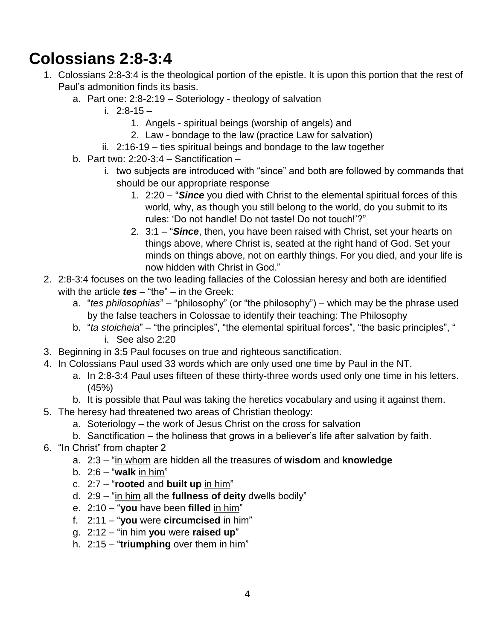# **Colossians 2:8-3:4**

- 1. Colossians 2:8-3:4 is the theological portion of the epistle. It is upon this portion that the rest of Paul's admonition finds its basis.
	- a. Part one: 2:8-2:19 Soteriology theology of salvation
		- i. 2:8-15
			- 1. Angels spiritual beings (worship of angels) and
			- 2. Law bondage to the law (practice Law for salvation)
		- ii. 2:16-19 ties spiritual beings and bondage to the law together
	- b. Part two:  $2:20-3:4$  Sanctification
		- i. two subjects are introduced with "since" and both are followed by commands that should be our appropriate response
			- 1. 2:20 "*Since* you died with Christ to the elemental spiritual forces of this world, why, as though you still belong to the world, do you submit to its rules: 'Do not handle! Do not taste! Do not touch!'?"
			- 2. 3:1 "*Since*, then, you have been raised with Christ, set your hearts on things above, where Christ is, seated at the right hand of God. Set your minds on things above, not on earthly things. For you died, and your life is now hidden with Christ in God."
- 2. 2:8-3:4 focuses on the two leading fallacies of the Colossian heresy and both are identified with the article *tes* – "the" – in the Greek:
	- a. "*tes philosophias*" "philosophy" (or "the philosophy") which may be the phrase used by the false teachers in Colossae to identify their teaching: The Philosophy
	- b. "*ta stoicheia*" "the principles", "the elemental spiritual forces", "the basic principles", " i. See also 2:20
- 3. Beginning in 3:5 Paul focuses on true and righteous sanctification.
- 4. In Colossians Paul used 33 words which are only used one time by Paul in the NT.
	- a. In 2:8-3:4 Paul uses fifteen of these thirty-three words used only one time in his letters. (45%)
	- b. It is possible that Paul was taking the heretics vocabulary and using it against them.
- 5. The heresy had threatened two areas of Christian theology:
	- a. Soteriology the work of Jesus Christ on the cross for salvation
	- b. Sanctification the holiness that grows in a believer's life after salvation by faith.
- 6. "In Christ" from chapter 2
	- a. 2:3 "in whom are hidden all the treasures of **wisdom** and **knowledge**
	- b. 2:6 "**walk** in him"
	- c. 2:7 "**rooted** and **built up** in him"
	- d. 2:9 "in him all the **fullness of deity** dwells bodily"
	- e. 2:10 "**you** have been **filled** in him"
	- f. 2:11 "**you** were **circumcised** in him"
	- g. 2:12 "in him **you** were **raised up**"
	- h. 2:15 "**triumphing** over them in him"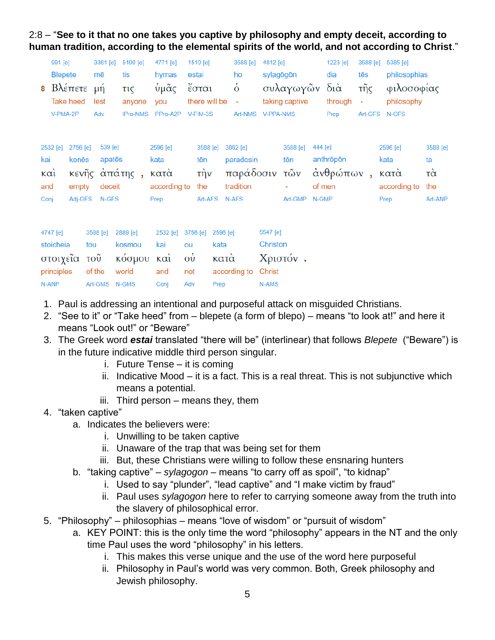#### 2:8 – "**See to it that no one takes you captive by philosophy and empty deceit, according to human tradition, according to the elemental spirits of the world, and not according to Christ**."

| 991 [e]<br><b>Blepete</b><br><b>8</b> Βλέπετε μή<br><b>Take heed</b> |                         |                                                | 3361 [e]<br>mē<br>lest |                                      | 5100 [e]<br>tis<br>$\tau$ <sub>1</sub> $\zeta$ | 4771 [e]<br>hymas<br>ὑμᾶς                        | 1510 [e]<br>estai<br>έσται<br>there will be -            |              | 3588 [e]<br>ho<br>$\dot{\mathbf{o}}$                         | 4812 [e]<br>sylagōgōn<br>συλαγωγῶν<br>taking captive |                                  | 1223 [e]<br>dia<br>διὰ | 3588 [e]<br>tēs<br>τῆς           | 5385 [e]<br>philosophias<br>φιλοσοφίας<br>philosophy |                                                  |                                                    |
|----------------------------------------------------------------------|-------------------------|------------------------------------------------|------------------------|--------------------------------------|------------------------------------------------|--------------------------------------------------|----------------------------------------------------------|--------------|--------------------------------------------------------------|------------------------------------------------------|----------------------------------|------------------------|----------------------------------|------------------------------------------------------|--------------------------------------------------|----------------------------------------------------|
|                                                                      | V-PMA-2P                |                                                | Adv                    |                                      | anyone<br>IPro-NMS                             | you<br>PPro-A2P V-FIM-3S                         |                                                          |              | Art-NMS V-PPA-NMS                                            |                                                      |                                  |                        | through<br>Prep                  | $\overline{\phantom{a}}$                             | Art-GFS N-GFS                                    |                                                    |
| kai<br>$\kappa$ $\alpha$<br>and<br>Conj                              | 2532 [e]                | 2756 [e]<br>kenēs<br>κενῆς<br>empty<br>Adj-GFS |                        | 539 [e]<br>apatēs<br>deceit<br>N-GFS | άπάτης,                                        | 2596 [e]<br>kata<br>κατὰ<br>according to<br>Prep | 3588 [e]<br>tēn<br>$\overrightarrow{\text{t}}$ ην<br>the | Art-AFS      | 3862 [e]<br>paradosin<br>παράδοσιν τῶν<br>tradition<br>N-AFS |                                                      | 3588 [e]<br>tōn<br>Art-GMP N-GMP | 444 [e]                | anthrōpōn<br>άνθρώπων,<br>of men |                                                      | 2596 [e]<br>kata<br>κατά<br>according to<br>Prep | 3588 [e]<br>ta<br>$\vec{\alpha}$<br>the<br>Art-ANP |
|                                                                      | 4747 [e]                |                                                | 3588 [e]               |                                      | 2889 [e]                                       | 2532 [e]                                         | 3756 [e]                                                 | 2596 [e]     |                                                              | 5547 [e]                                             |                                  |                        |                                  |                                                      |                                                  |                                                    |
|                                                                      | stoicheia<br>principles | στοιχεία τοῦ                                   | tou<br>of the          |                                      | kosmou<br>κόσμου<br>world                      | kai<br>καὶ<br>and                                | ou<br>$\vec{\omega}$<br>not                              | kata<br>κατά | according to                                                 | Christon<br>Christ                                   | Χριστόν.                         |                        |                                  |                                                      |                                                  |                                                    |

- 1. Paul is addressing an intentional and purposeful attack on misguided Christians.
- 2. "See to it" or "Take heed" from blepete (a form of blepo) means "to look at!" and here it means "Look out!" or "Beware"
- 3. The Greek word *estai* translated "there will be" (interlinear) that follows *Blepete* ("Beware") is in the future indicative middle third person singular.
	- i. Future Tense it is coming

N-ANP Art-GMS N-GMS Conj Adv Prep N-AMS

- ii. Indicative Mood it is a fact. This is a real threat. This is not subjunctive which means a potential.
- iii. Third person means they, them

#### 4. "taken captive"

- a. Indicates the believers were:
	- i. Unwilling to be taken captive
	- ii. Unaware of the trap that was being set for them
	- iii. But, these Christians were willing to follow these ensnaring hunters
- b. "taking captive" *sylagogon* means "to carry off as spoil", "to kidnap"
	- i. Used to say "plunder", "lead captive" and "I make victim by fraud"
	- ii. Paul uses *sylagogon* here to refer to carrying someone away from the truth into the slavery of philosophical error.
- 5. "Philosophy" philosophias means "love of wisdom" or "pursuit of wisdom"
	- a. KEY POINT: this is the only time the word "philosophy" appears in the NT and the only time Paul uses the word "philosophy" in his letters.
		- i. This makes this verse unique and the use of the word here purposeful
		- ii. Philosophy in Paul's world was very common. Both, Greek philosophy and Jewish philosophy.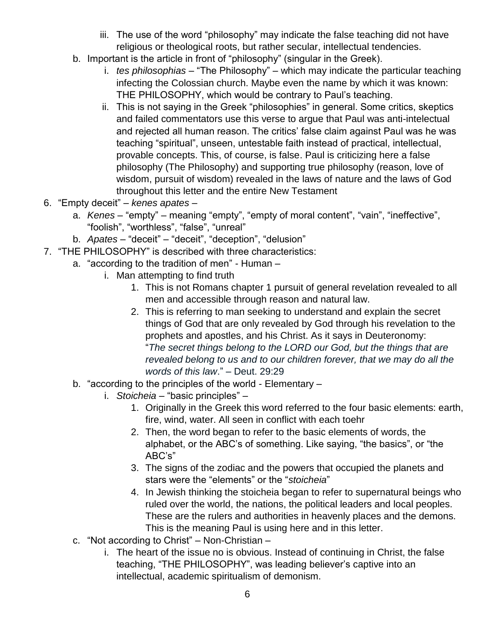- iii. The use of the word "philosophy" may indicate the false teaching did not have religious or theological roots, but rather secular, intellectual tendencies.
- b. Important is the article in front of "philosophy" (singular in the Greek).
	- i. *tes philosophias* "The Philosophy" which may indicate the particular teaching infecting the Colossian church. Maybe even the name by which it was known: THE PHILOSOPHY, which would be contrary to Paul's teaching.
	- ii. This is not saying in the Greek "philosophies" in general. Some critics, skeptics and failed commentators use this verse to argue that Paul was anti-intelectual and rejected all human reason. The critics' false claim against Paul was he was teaching "spiritual", unseen, untestable faith instead of practical, intellectual, provable concepts. This, of course, is false. Paul is criticizing here a false philosophy (The Philosophy) and supporting true philosophy (reason, love of wisdom, pursuit of wisdom) revealed in the laws of nature and the laws of God throughout this letter and the entire New Testament
- 6. "Empty deceit" *kenes apates*
	- a. *Kenes* "empty" meaning "empty", "empty of moral content", "vain", "ineffective", "foolish", "worthless", "false", "unreal"
	- b. *Apates* "deceit" "deceit", "deception", "delusion"
- 7. "THE PHILOSOPHY" is described with three characteristics:
	- a. "according to the tradition of men" Human
		- i. Man attempting to find truth
			- 1. This is not Romans chapter 1 pursuit of general revelation revealed to all men and accessible through reason and natural law.
			- 2. This is referring to man seeking to understand and explain the secret things of God that are only revealed by God through his revelation to the prophets and apostles, and his Christ. As it says in Deuteronomy: "*The secret things belong to the LORD our God, but the things that are revealed belong to us and to our children forever, that we may do all the words of this law*." – Deut. 29:29
	- b. "according to the principles of the world Elementary
		- i. *Stoicheia* "basic principles"
			- 1. Originally in the Greek this word referred to the four basic elements: earth, fire, wind, water. All seen in conflict with each toehr
			- 2. Then, the word began to refer to the basic elements of words, the alphabet, or the ABC's of something. Like saying, "the basics", or "the ABC's"
			- 3. The signs of the zodiac and the powers that occupied the planets and stars were the "elements" or the "*stoicheia*"
			- 4. In Jewish thinking the stoicheia began to refer to supernatural beings who ruled over the world, the nations, the political leaders and local peoples. These are the rulers and authorities in heavenly places and the demons. This is the meaning Paul is using here and in this letter.
	- c. "Not according to Christ" Non-Christian
		- i. The heart of the issue no is obvious. Instead of continuing in Christ, the false teaching, "THE PHILOSOPHY", was leading believer's captive into an intellectual, academic spiritualism of demonism.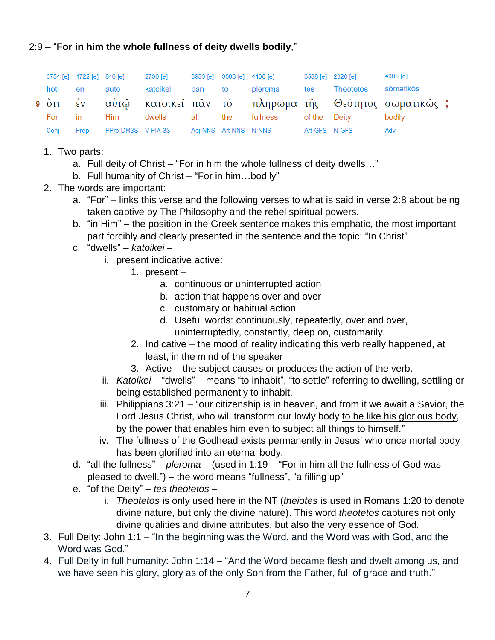#### 2:9 – "**For in him the whole fullness of deity dwells bodily**,"

|  |         |      |  |  | 3754 [e] 1722 [e] 846 [e] 2730 [e] 3956 [e] 3588 [e] 4138 [e] 3588 [e] 3588 [e] 2320 [e] |  | 4985 [e]                                                      |  |
|--|---------|------|--|--|------------------------------------------------------------------------------------------|--|---------------------------------------------------------------|--|
|  | hoti en |      |  |  | autō katoikei pan to plērōma tēs Theotētos sōmatikōs                                     |  |                                                               |  |
|  |         |      |  |  |                                                                                          |  | 9 ότι εν αύτῷ κατοικεῖ πᾶν τὸ πλήρωμα τῆς Θεότητος σωματικῶς; |  |
|  | For in  |      |  |  | Him dwells all the fullness of the Deity                                                 |  | bodilv                                                        |  |
|  | Coni    | Prep |  |  | PPro-DM3S V-PIA-3S Adj-NNS Art-NNS N-NNS Art-GFS N-GFS                                   |  | Adv                                                           |  |

- 1. Two parts:
	- a. Full deity of Christ "For in him the whole fullness of deity dwells…"
	- b. Full humanity of Christ "For in him…bodily"
- 2. The words are important:
	- a. "For" links this verse and the following verses to what is said in verse 2:8 about being taken captive by The Philosophy and the rebel spiritual powers.
	- b. "in Him" the position in the Greek sentence makes this emphatic, the most important part forcibly and clearly presented in the sentence and the topic: "In Christ"
	- c. "dwells" *katoikei*
		- i. present indicative active:
			- 1. present
				- a. continuous or uninterrupted action
				- b. action that happens over and over
				- c. customary or habitual action
				- d. Useful words: continuously, repeatedly, over and over, uninterruptedly, constantly, deep on, customarily.
			- 2. Indicative the mood of reality indicating this verb really happened, at least, in the mind of the speaker
			- 3. Active the subject causes or produces the action of the verb.
		- ii. *Katoikei* "dwells" means "to inhabit", "to settle" referring to dwelling, settling or being established permanently to inhabit.
		- iii. Philippians 3:21 "our citizenship is in heaven, and from it we await a Savior, the Lord Jesus Christ, who will transform our lowly body to be like his glorious body, by the power that enables him even to subject all things to himself."
		- iv. The fullness of the Godhead exists permanently in Jesus' who once mortal body has been glorified into an eternal body.
	- d. "all the fullness" *pleroma* (used in 1:19 "For in him all the fullness of God was pleased to dwell.") – the word means "fullness", "a filling up"
	- e. "of the Deity" *tes theotetos*
		- i. *Theotetos* is only used here in the NT (*theiotes* is used in Romans 1:20 to denote divine nature, but only the divine nature). This word *theotetos* captures not only divine qualities and divine attributes, but also the very essence of God.
- 3. Full Deity: John 1:1 "In the beginning was the Word, and the Word was with God, and the Word was God."
- 4. Full Deity in full humanity: John 1:14 "And the Word became flesh and dwelt among us, and we have seen his glory, glory as of the only Son from the Father, full of grace and truth."